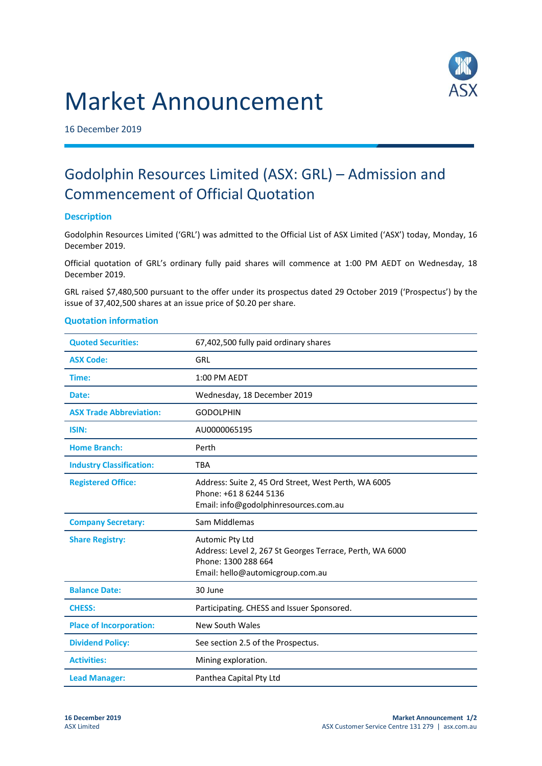# Market Announcement



16 December 2019

## Godolphin Resources Limited (ASX: GRL) – Admission and Commencement of Official Quotation

### **Description**

Godolphin Resources Limited ('GRL') was admitted to the Official List of ASX Limited ('ASX') today, Monday, 16 December 2019.

Official quotation of GRL's ordinary fully paid shares will commence at 1:00 PM AEDT on Wednesday, 18 December 2019.

GRL raised \$7,480,500 pursuant to the offer under its prospectus dated 29 October 2019 ('Prospectus') by the issue of 37,402,500 shares at an issue price of \$0.20 per share.

#### **Quotation information**

| <b>Quoted Securities:</b>       | 67,402,500 fully paid ordinary shares                                                                                                  |
|---------------------------------|----------------------------------------------------------------------------------------------------------------------------------------|
| <b>ASX Code:</b>                | GRL                                                                                                                                    |
| Time:                           | 1:00 PM AEDT                                                                                                                           |
| Date:                           | Wednesday, 18 December 2019                                                                                                            |
| <b>ASX Trade Abbreviation:</b>  | <b>GODOLPHIN</b>                                                                                                                       |
| ISIN:                           | AU0000065195                                                                                                                           |
| <b>Home Branch:</b>             | Perth                                                                                                                                  |
| <b>Industry Classification:</b> | <b>TBA</b>                                                                                                                             |
| <b>Registered Office:</b>       | Address: Suite 2, 45 Ord Street, West Perth, WA 6005<br>Phone: +61 8 6244 5136<br>Email: info@godolphinresources.com.au                |
| <b>Company Secretary:</b>       | Sam Middlemas                                                                                                                          |
| <b>Share Registry:</b>          | Automic Pty Ltd<br>Address: Level 2, 267 St Georges Terrace, Perth, WA 6000<br>Phone: 1300 288 664<br>Email: hello@automicgroup.com.au |
| <b>Balance Date:</b>            | 30 June                                                                                                                                |
| <b>CHESS:</b>                   | Participating. CHESS and Issuer Sponsored.                                                                                             |
| <b>Place of Incorporation:</b>  | New South Wales                                                                                                                        |
| <b>Dividend Policy:</b>         | See section 2.5 of the Prospectus.                                                                                                     |
| <b>Activities:</b>              | Mining exploration.                                                                                                                    |
| <b>Lead Manager:</b>            | Panthea Capital Pty Ltd                                                                                                                |